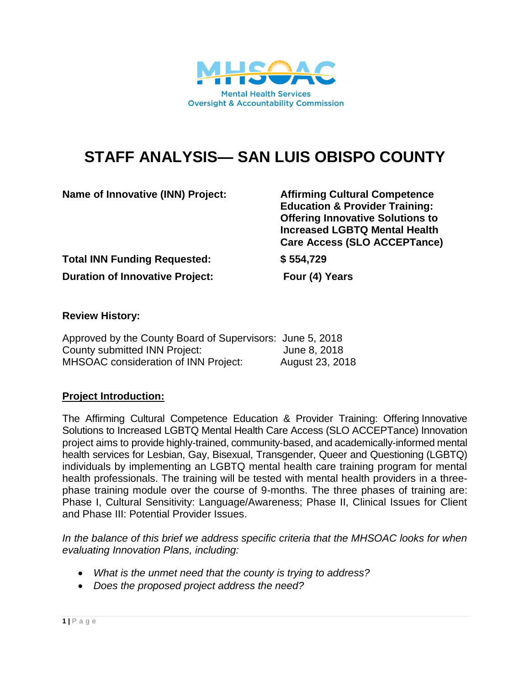

# **STAFF ANALYSIS— SAN LUIS OBISPO COUNTY**

**Name of Innovative (INN) Project: Affirming Cultural Competence** 

**Education & Provider Training: Offering Innovative Solutions to Increased LGBTQ Mental Health Care Access (SLO ACCEPTance)**

**Total INN Funding Requested: \$ 554,729**

**Duration of Innovative Project: Four (4) Years**

# **Review History:**

| Approved by the County Board of Supervisors: June 5, 2018 |                 |
|-----------------------------------------------------------|-----------------|
| County submitted INN Project:                             | June 8, 2018    |
| <b>MHSOAC</b> consideration of INN Project:               | August 23, 2018 |

# **Project Introduction:**

The Affirming Cultural Competence Education & Provider Training: Offering Innovative Solutions to Increased LGBTQ Mental Health Care Access (SLO ACCEPTance) Innovation project aims to provide highly‐trained, community‐based, and academically‐informed mental health services for Lesbian, Gay, Bisexual, Transgender, Queer and Questioning (LGBTQ) individuals by implementing an LGBTQ mental health care training program for mental health professionals. The training will be tested with mental health providers in a threephase training module over the course of 9-months. The three phases of training are: Phase I, Cultural Sensitivity: Language/Awareness; Phase II, Clinical Issues for Client and Phase III: Potential Provider Issues.

*In the balance of this brief we address specific criteria that the MHSOAC looks for when evaluating Innovation Plans, including:* 

- *What is the unmet need that the county is trying to address?*
- *Does the proposed project address the need?*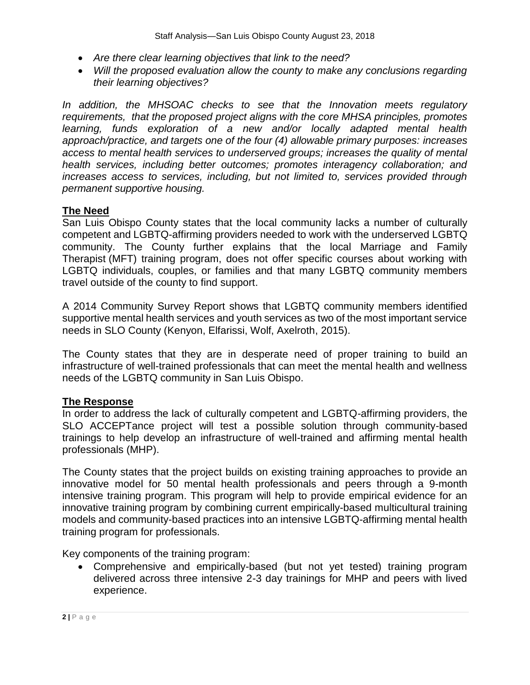- *Are there clear learning objectives that link to the need?*
- *Will the proposed evaluation allow the county to make any conclusions regarding their learning objectives?*

*In addition, the MHSOAC checks to see that the Innovation meets regulatory requirements, that the proposed project aligns with the core MHSA principles, promotes learning, funds exploration of a new and/or locally adapted mental health approach/practice, and targets one of the four (4) allowable primary purposes: increases access to mental health services to underserved groups; increases the quality of mental health services, including better outcomes; promotes interagency collaboration; and increases access to services, including, but not limited to, services provided through permanent supportive housing.*

## **The Need**

San Luis Obispo County states that the local community lacks a number of culturally competent and LGBTQ-affirming providers needed to work with the underserved LGBTQ community. The County further explains that the local Marriage and Family Therapist (MFT) training program, does not offer specific courses about working with LGBTQ individuals, couples, or families and that many LGBTQ community members travel outside of the county to find support.

A 2014 Community Survey Report shows that LGBTQ community members identified supportive mental health services and youth services as two of the most important service needs in SLO County (Kenyon, Elfarissi, Wolf, Axelroth, 2015).

The County states that they are in desperate need of proper training to build an infrastructure of well-trained professionals that can meet the mental health and wellness needs of the LGBTQ community in San Luis Obispo.

#### **The Response**

In order to address the lack of culturally competent and LGBTQ-affirming providers, the SLO ACCEPTance project will test a possible solution through community-based trainings to help develop an infrastructure of well-trained and affirming mental health professionals (MHP).

The County states that the project builds on existing training approaches to provide an innovative model for 50 mental health professionals and peers through a 9-month intensive training program. This program will help to provide empirical evidence for an innovative training program by combining current empirically-based multicultural training models and community-based practices into an intensive LGBTQ-affirming mental health training program for professionals.

Key components of the training program:

 Comprehensive and empirically-based (but not yet tested) training program delivered across three intensive 2-3 day trainings for MHP and peers with lived experience.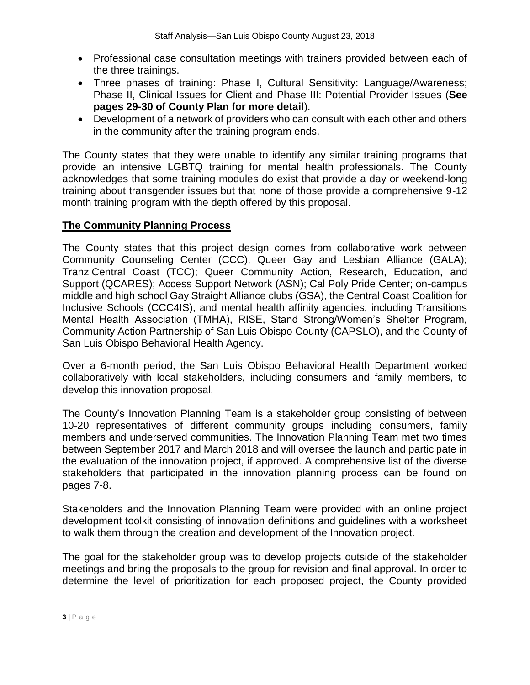- Professional case consultation meetings with trainers provided between each of the three trainings.
- Three phases of training: Phase I, Cultural Sensitivity: Language/Awareness; Phase II, Clinical Issues for Client and Phase III: Potential Provider Issues (**See pages 29-30 of County Plan for more detail**).
- Development of a network of providers who can consult with each other and others in the community after the training program ends.

The County states that they were unable to identify any similar training programs that provide an intensive LGBTQ training for mental health professionals. The County acknowledges that some training modules do exist that provide a day or weekend-long training about transgender issues but that none of those provide a comprehensive 9-12 month training program with the depth offered by this proposal.

## **The Community Planning Process**

The County states that this project design comes from collaborative work between Community Counseling Center (CCC), Queer Gay and Lesbian Alliance (GALA); Tranz Central Coast (TCC); Queer Community Action, Research, Education, and Support (QCARES); Access Support Network (ASN); Cal Poly Pride Center; on-campus middle and high school Gay Straight Alliance clubs (GSA), the Central Coast Coalition for Inclusive Schools (CCC4IS), and mental health affinity agencies, including Transitions Mental Health Association (TMHA), RISE, Stand Strong/Women's Shelter Program, Community Action Partnership of San Luis Obispo County (CAPSLO), and the County of San Luis Obispo Behavioral Health Agency.

Over a 6-month period, the San Luis Obispo Behavioral Health Department worked collaboratively with local stakeholders, including consumers and family members, to develop this innovation proposal.

The County's Innovation Planning Team is a stakeholder group consisting of between 10-20 representatives of different community groups including consumers, family members and underserved communities. The Innovation Planning Team met two times between September 2017 and March 2018 and will oversee the launch and participate in the evaluation of the innovation project, if approved. A comprehensive list of the diverse stakeholders that participated in the innovation planning process can be found on pages 7-8.

Stakeholders and the Innovation Planning Team were provided with an online project development toolkit consisting of innovation definitions and guidelines with a worksheet to walk them through the creation and development of the Innovation project.

The goal for the stakeholder group was to develop projects outside of the stakeholder meetings and bring the proposals to the group for revision and final approval. In order to determine the level of prioritization for each proposed project, the County provided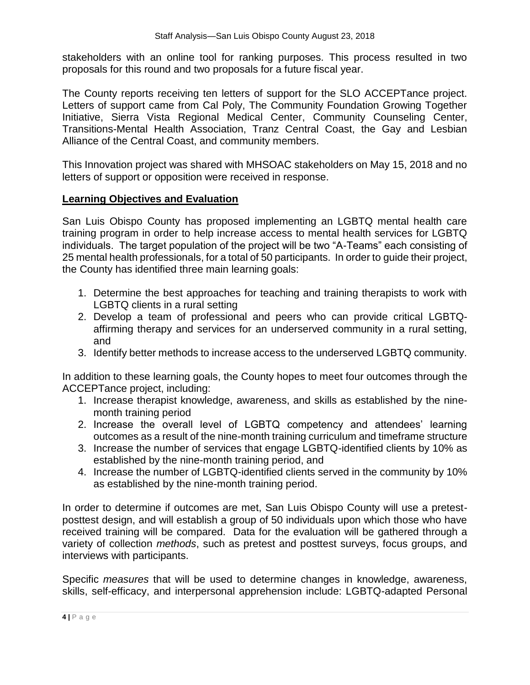stakeholders with an online tool for ranking purposes. This process resulted in two proposals for this round and two proposals for a future fiscal year.

The County reports receiving ten letters of support for the SLO ACCEPTance project. Letters of support came from Cal Poly, The Community Foundation Growing Together Initiative, Sierra Vista Regional Medical Center, Community Counseling Center, Transitions-Mental Health Association, Tranz Central Coast, the Gay and Lesbian Alliance of the Central Coast, and community members.

This Innovation project was shared with MHSOAC stakeholders on May 15, 2018 and no letters of support or opposition were received in response.

#### **Learning Objectives and Evaluation**

San Luis Obispo County has proposed implementing an LGBTQ mental health care training program in order to help increase access to mental health services for LGBTQ individuals. The target population of the project will be two "A-Teams" each consisting of 25 mental health professionals, for a total of 50 participants. In order to guide their project, the County has identified three main learning goals:

- 1. Determine the best approaches for teaching and training therapists to work with LGBTQ clients in a rural setting
- 2. Develop a team of professional and peers who can provide critical LGBTQaffirming therapy and services for an underserved community in a rural setting, and
- 3. Identify better methods to increase access to the underserved LGBTQ community.

In addition to these learning goals, the County hopes to meet four outcomes through the ACCEPTance project, including:

- 1. Increase therapist knowledge, awareness, and skills as established by the ninemonth training period
- 2. Increase the overall level of LGBTQ competency and attendees' learning outcomes as a result of the nine-month training curriculum and timeframe structure
- 3. Increase the number of services that engage LGBTQ-identified clients by 10% as established by the nine-month training period, and
- 4. Increase the number of LGBTQ-identified clients served in the community by 10% as established by the nine-month training period.

In order to determine if outcomes are met, San Luis Obispo County will use a pretestposttest design, and will establish a group of 50 individuals upon which those who have received training will be compared. Data for the evaluation will be gathered through a variety of collection *methods*, such as pretest and posttest surveys, focus groups, and interviews with participants.

Specific *measures* that will be used to determine changes in knowledge, awareness, skills, self-efficacy, and interpersonal apprehension include: LGBTQ-adapted Personal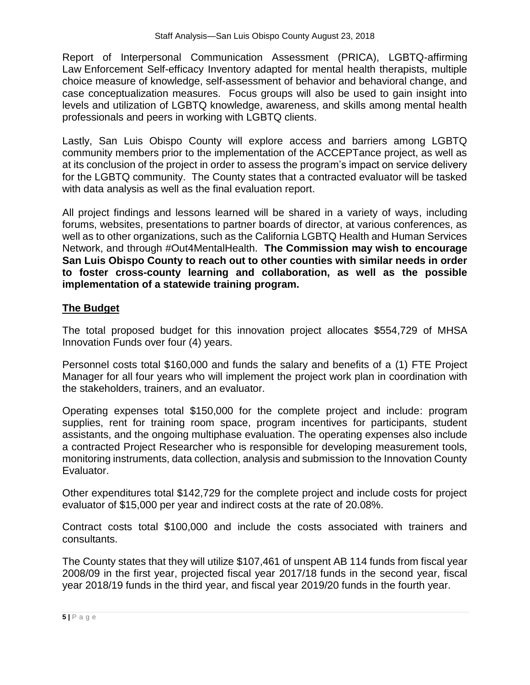Report of Interpersonal Communication Assessment (PRICA), LGBTQ-affirming Law Enforcement Self-efficacy Inventory adapted for mental health therapists, multiple choice measure of knowledge, self-assessment of behavior and behavioral change, and case conceptualization measures. Focus groups will also be used to gain insight into levels and utilization of LGBTQ knowledge, awareness, and skills among mental health professionals and peers in working with LGBTQ clients.

Lastly, San Luis Obispo County will explore access and barriers among LGBTQ community members prior to the implementation of the ACCEPTance project, as well as at its conclusion of the project in order to assess the program's impact on service delivery for the LGBTQ community. The County states that a contracted evaluator will be tasked with data analysis as well as the final evaluation report.

All project findings and lessons learned will be shared in a variety of ways, including forums, websites, presentations to partner boards of director, at various conferences, as well as to other organizations, such as the California LGBTQ Health and Human Services Network, and through #Out4MentalHealth. **The Commission may wish to encourage San Luis Obispo County to reach out to other counties with similar needs in order to foster cross-county learning and collaboration, as well as the possible implementation of a statewide training program.** 

# **The Budget**

The total proposed budget for this innovation project allocates \$554,729 of MHSA Innovation Funds over four (4) years.

Personnel costs total \$160,000 and funds the salary and benefits of a (1) FTE Project Manager for all four years who will implement the project work plan in coordination with the stakeholders, trainers, and an evaluator.

Operating expenses total \$150,000 for the complete project and include: program supplies, rent for training room space, program incentives for participants, student assistants, and the ongoing multiphase evaluation. The operating expenses also include a contracted Project Researcher who is responsible for developing measurement tools, monitoring instruments, data collection, analysis and submission to the Innovation County Evaluator.

Other expenditures total \$142,729 for the complete project and include costs for project evaluator of \$15,000 per year and indirect costs at the rate of 20.08%.

Contract costs total \$100,000 and include the costs associated with trainers and consultants.

The County states that they will utilize \$107,461 of unspent AB 114 funds from fiscal year 2008/09 in the first year, projected fiscal year 2017/18 funds in the second year, fiscal year 2018/19 funds in the third year, and fiscal year 2019/20 funds in the fourth year.